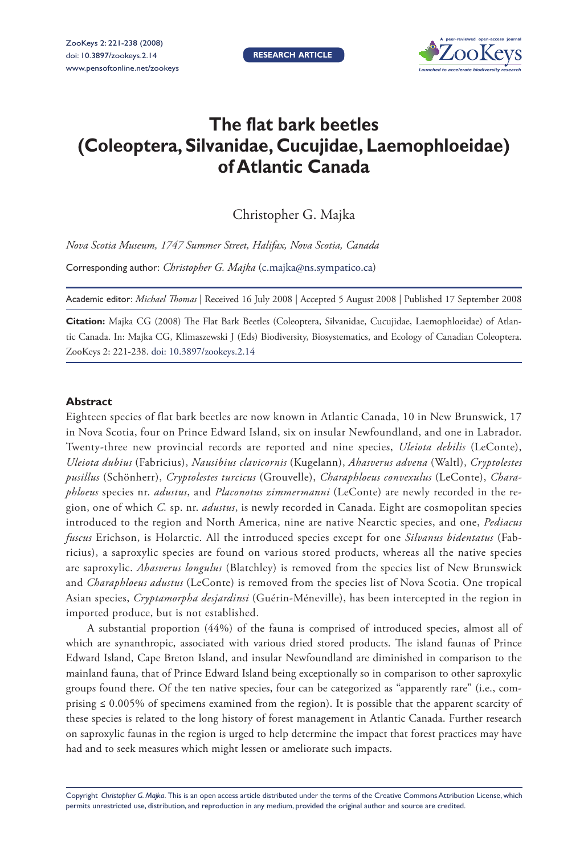**RESEARCH ARTICLE**



# **The flat bark beetles (Coleoptera, Silvanidae, Cucujidae, Laemophloeidae) of Atlantic Canada**

Christopher G. Majka

*Nova Scotia Museum, 1747 Summer Street, Halifax, Nova Scotia, Canada*

Corresponding author: *Christopher G. Majka* ([c.majka@ns.sympatico.ca\)](mailto:c.majka@ns.sympatico.ca)

Academic editor: *Michael Thomas* | Received 16 July 2008 | Accepted 5 August 2008 | Published 17 September 2008

Citation: Majka CG (2008) The Flat Bark Beetles (Coleoptera, Silvanidae, Cucujidae, Laemophloeidae) of Atlantic Canada. In: Majka CG, Klimaszewski J (Eds) Biodiversity, Biosystematics, and Ecology of Canadian Coleoptera. ZooKeys 2: 221-238. [doi: 10.3897/zookeys.2.14](http://dx.doi.org/10.3897/zookeys.2.14)

#### **Abstract**

Eighteen species of flat bark beetles are now known in Atlantic Canada, 10 in New Brunswick, 17 in Nova Scotia, four on Prince Edward Island, six on insular Newfoundland, and one in Labrador. Twenty-three new provincial records are reported and nine species, *Uleiota debilis* (LeConte), *Uleiota dubius* (Fabricius), *Nausibius clavicornis* (Kugelann), *Ahasverus advena* (Waltl), *Cryptolestes pusillus* (Schönherr), *Cryptolestes turcicus* (Grouvelle), *Charaphloeus convexulus* (LeConte), *Charaphloeus* species nr. *adustus*, and *Placonotus zimmermanni* (LeConte) are newly recorded in the region, one of which *C.* sp. nr. *adustus*, is newly recorded in Canada. Eight are cosmopolitan species introduced to the region and North America, nine are native Nearctic species, and one, *Pediacus fuscus* Erichson, is Holarctic. All the introduced species except for one *Silvanus bidentatus* (Fabricius), a saproxylic species are found on various stored products, whereas all the native species are saproxylic. *Ahasverus longulus* (Blatchley) is removed from the species list of New Brunswick and *Charaphloeus adustus* (LeConte) is removed from the species list of Nova Scotia. One tropical Asian species, *Cryptamorpha desjardinsi* (Guérin-Méneville), has been intercepted in the region in imported produce, but is not established.

A substantial proportion (44%) of the fauna is comprised of introduced species, almost all of which are synanthropic, associated with various dried stored products. The island faunas of Prince Edward Island, Cape Breton Island, and insular Newfoundland are diminished in comparison to the mainland fauna, that of Prince Edward Island being exceptionally so in comparison to other saproxylic groups found there. Of the ten native species, four can be categorized as "apparently rare" (i.e., comprising  $\leq 0.005\%$  of specimens examined from the region). It is possible that the apparent scarcity of these species is related to the long history of forest management in Atlantic Canada. Further research on saproxylic faunas in the region is urged to help determine the impact that forest practices may have had and to seek measures which might lessen or ameliorate such impacts.

Copyright *Christopher G. Majka*. This is an open access article distributed under the terms of the [Creative Commons Attribution License,](http://creativecommons.org/licenses/by/3.0/) which permits unrestricted use, distribution, and reproduction in any medium, provided the original author and source are credited.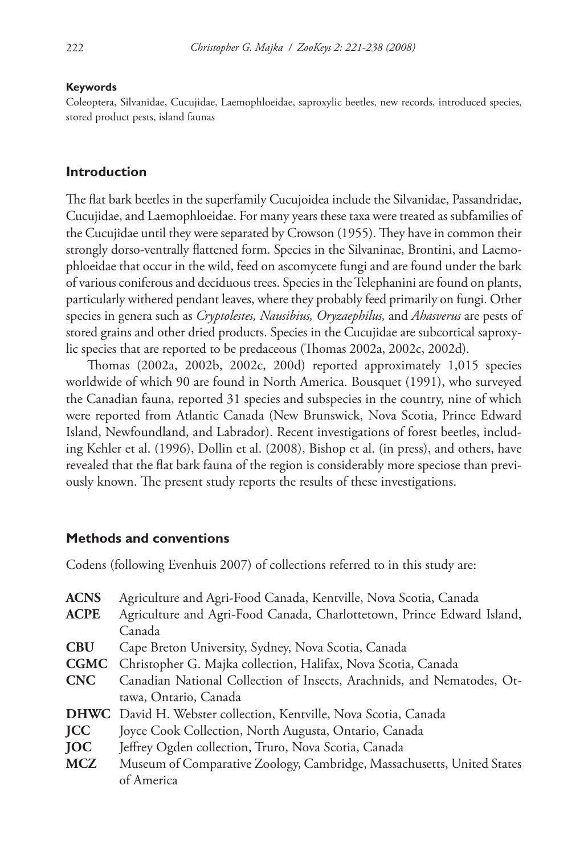#### **Keywords**

Coleoptera, Silvanidae, Cucujidae, Laemophloeidae, saproxylic beetles, new records, introduced species, stored product pests, island faunas

#### **Introduction**

The flat bark beetles in the superfamily Cucujoidea include the Silvanidae, Passandridae, Cucujidae, and Laemophloeidae. For many years these taxa were treated as subfamilies of the Cucujidae until they were separated by Crowson (1955). They have in common their strongly dorso-ventrally flattened form. Species in the Silvaninae, Brontini, and Laemophloeidae that occur in the wild, feed on ascomycete fungi and are found under the bark of various coniferous and deciduous trees. Species in the Telephanini are found on plants, particularly withered pendant leaves, where they probably feed primarily on fungi. Other species in genera such as *Cryptolestes, Nausibius, Oryzaephilus,* and *Ahasverus* are pests of stored grains and other dried products. Species in the Cucujidae are subcortical saproxylic species that are reported to be predaceous (Thomas 2002a, 2002c, 2002d).

Th omas (2002a, 2002b, 2002c, 200d) reported approximately 1,015 species worldwide of which 90 are found in North America. Bousquet (1991), who surveyed the Canadian fauna, reported 31 species and subspecies in the country, nine of which were reported from Atlantic Canada (New Brunswick, Nova Scotia, Prince Edward Island, Newfoundland, and Labrador). Recent investigations of forest beetles, including Kehler et al. (1996), Dollin et al. (2008), Bishop et al. (in press), and others, have revealed that the flat bark fauna of the region is considerably more speciose than previously known. The present study reports the results of these investigations.

# **Methods and conventions**

Codens (following Evenhuis 2007) of collections referred to in this study are:

| <b>ACNS</b> | Agriculture and Agri-Food Canada, Kentville, Nova Scotia, Canada       |
|-------------|------------------------------------------------------------------------|
| <b>ACPE</b> | Agriculture and Agri-Food Canada, Charlottetown, Prince Edward Island, |
|             | Canada                                                                 |
| <b>CBU</b>  | Cape Breton University, Sydney, Nova Scotia, Canada                    |
| <b>CGMC</b> | Christopher G. Majka collection, Halifax, Nova Scotia, Canada          |
| <b>CNC</b>  | Canadian National Collection of Insects, Arachnids, and Nematodes, Ot- |
|             | tawa, Ontario, Canada                                                  |
|             | DHWC David H. Webster collection, Kentville, Nova Scotia, Canada       |
| <b>JCC</b>  | Joyce Cook Collection, North Augusta, Ontario, Canada                  |
| <b>JOC</b>  | Jeffrey Ogden collection, Truro, Nova Scotia, Canada                   |
| <b>MCZ</b>  | Museum of Comparative Zoology, Cambridge, Massachusetts, United States |
|             | of America                                                             |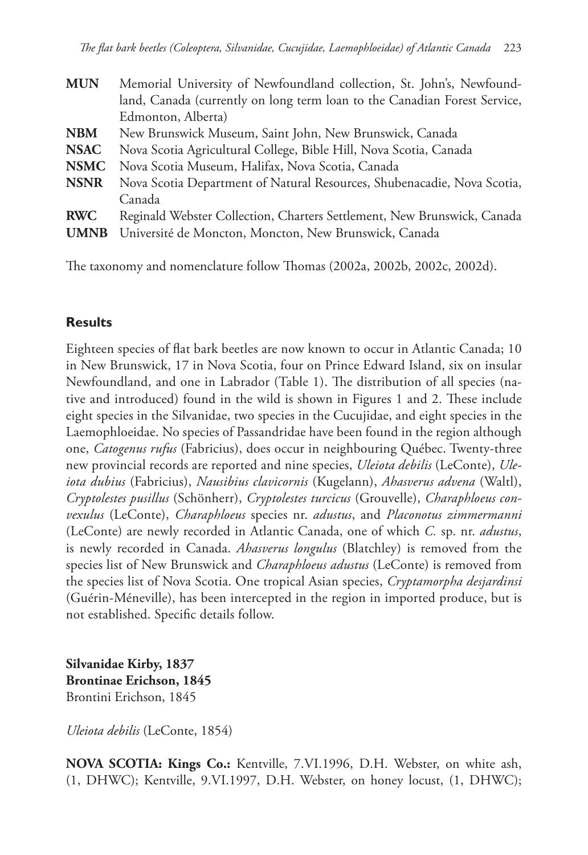| Memorial University of Newfoundland collection, St. John's, Newfound-     |
|---------------------------------------------------------------------------|
| land, Canada (currently on long term loan to the Canadian Forest Service, |
| Edmonton, Alberta)                                                        |
| New Brunswick Museum, Saint John, New Brunswick, Canada                   |
| Nova Scotia Agricultural College, Bible Hill, Nova Scotia, Canada         |
| Nova Scotia Museum, Halifax, Nova Scotia, Canada                          |
| Nova Scotia Department of Natural Resources, Shubenacadie, Nova Scotia,   |
| Canada                                                                    |
| Reginald Webster Collection, Charters Settlement, New Brunswick, Canada   |
| Université de Moncton, Moncton, New Brunswick, Canada                     |
|                                                                           |

The taxonomy and nomenclature follow Thomas (2002a, 2002b, 2002c, 2002d).

# **Results**

Eighteen species of flat bark beetles are now known to occur in Atlantic Canada; 10 in New Brunswick, 17 in Nova Scotia, four on Prince Edward Island, six on insular Newfoundland, and one in Labrador (Table 1). The distribution of all species (native and introduced) found in the wild is shown in Figures 1 and 2. These include eight species in the Silvanidae, two species in the Cucujidae, and eight species in the Laemophloeidae. No species of Passandridae have been found in the region although one, *Catogenus rufus* (Fabricius), does occur in neighbouring Québec. Twenty-three new provincial records are reported and nine species, *Uleiota debilis* (LeConte), *Uleiota dubius* (Fabricius), *Nausibius clavicornis* (Kugelann), *Ahasverus advena* (Waltl), *Cryptolestes pusillus* (Schönherr), *Cryptolestes turcicus* (Grouvelle), *Charaphloeus convexulus* (LeConte), *Charaphloeus* species nr. *adustus*, and *Placonotus zimmermanni* (LeConte) are newly recorded in Atlantic Canada, one of which *C.* sp. nr. *adustus*, is newly recorded in Canada. *Ahasverus longulus* (Blatchley) is removed from the species list of New Brunswick and *Charaphloeus adustus* (LeConte) is removed from the species list of Nova Scotia. One tropical Asian species, *Cryptamorpha desjardinsi*  (Guérin-Méneville), has been intercepted in the region in imported produce, but is not established. Specific details follow.

**Silvanidae Kirby, 1837 Brontinae Erichson, 1845** Brontini Erichson, 1845

*Uleiota debilis* (LeConte, 1854)

**NOVA SCOTIA: Kings Co.:** Kentville, 7.VI.1996, D.H. Webster, on white ash, (1, DHWC); Kentville, 9.VI.1997, D.H. Webster, on honey locust, (1, DHWC);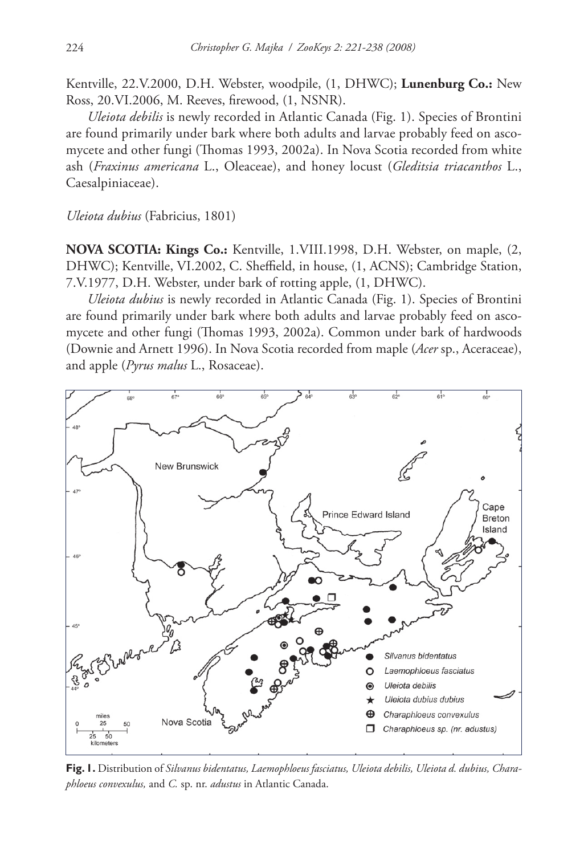Kentville, 22.V.2000, D.H. Webster, woodpile, (1, DHWC); **Lunenburg Co.:** New Ross, 20.VI.2006, M. Reeves, firewood, (1, NSNR).

*Uleiota debilis* is newly recorded in Atlantic Canada (Fig. 1). Species of Brontini are found primarily under bark where both adults and larvae probably feed on ascomycete and other fungi (Thomas 1993, 2002a). In Nova Scotia recorded from white ash (*Fraxinus americana* L., Oleaceae), and honey locust (*Gleditsia triacanthos* L., Caesalpiniaceae).

*Uleiota dubius* (Fabricius, 1801)

**NOVA SCOTIA: Kings Co.:** Kentville, 1.VIII.1998, D.H. Webster, on maple, (2, DHWC); Kentville, VI.2002, C. Sheffield, in house, (1, ACNS); Cambridge Station, 7.V.1977, D.H. Webster, under bark of rotting apple, (1, DHWC).

*Uleiota dubius* is newly recorded in Atlantic Canada (Fig. 1). Species of Brontini are found primarily under bark where both adults and larvae probably feed on ascomycete and other fungi (Thomas 1993, 2002a). Common under bark of hardwoods (Downie and Arnett 1996). In Nova Scotia recorded from maple (*Acer* sp., Aceraceae), and apple (*Pyrus malus* L., Rosaceae).



**Fig. 1.** Distribution of *Silvanus bidentatus, Laemophloeus fasciatus, Uleiota debilis, Uleiota d. dubius, Charaphloeus convexulus,* and *C.* sp. nr. *adustus* in Atlantic Canada.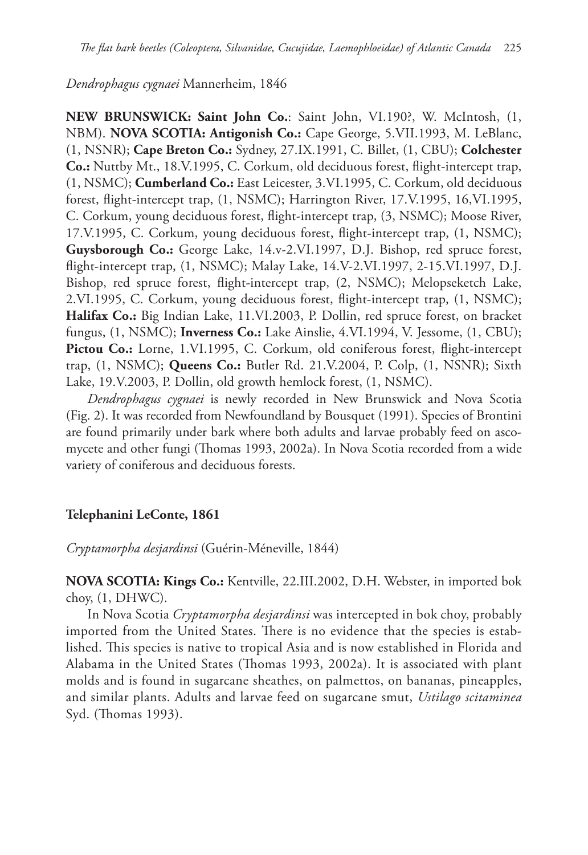# *Dendrophagus cygnaei* Mannerheim, 1846

**NEW BRUNSWICK: Saint John Co.**: Saint John, VI.190?, W. McIntosh, (1, NBM). **NOVA SCOTIA: Antigonish Co.:** Cape George, 5.VII.1993, M. LeBlanc, (1, NSNR); **Cape Breton Co.:** Sydney, 27.IX.1991, C. Billet, (1, CBU); **Colchester Co.:** Nuttby Mt., 18.V.1995, C. Corkum, old deciduous forest, flight-intercept trap, (1, NSMC); **Cumberland Co.:** East Leicester, 3.VI.1995, C. Corkum, old deciduous forest, flight-intercept trap, (1, NSMC); Harrington River, 17.V.1995, 16, VI.1995, C. Corkum, young deciduous forest, flight-intercept trap, (3, NSMC); Moose River, 17.V.1995, C. Corkum, young deciduous forest, flight-intercept trap, (1, NSMC); **Guysborough Co.:** George Lake, 14.v-2.VI.1997, D.J. Bishop, red spruce forest, flight-intercept trap, (1, NSMC); Malay Lake, 14.V-2.VI.1997, 2-15.VI.1997, D.J. Bishop, red spruce forest, flight-intercept trap, (2, NSMC); Melopseketch Lake, 2.VI.1995, C. Corkum, young deciduous forest, flight-intercept trap, (1, NSMC); **Halifax Co.:** Big Indian Lake, 11.VI.2003, P. Dollin, red spruce forest, on bracket fungus, (1, NSMC); **Inverness Co.:** Lake Ainslie, 4.VI.1994, V. Jessome, (1, CBU); **Pictou Co.:** Lorne, 1.VI.1995, C. Corkum, old coniferous forest, flight-intercept trap, (1, NSMC); **Queens Co.:** Butler Rd. 21.V.2004, P. Colp, (1, NSNR); Sixth Lake, 19.V.2003, P. Dollin, old growth hemlock forest, (1, NSMC).

*Dendrophagus cygnaei* is newly recorded in New Brunswick and Nova Scotia (Fig. 2). It was recorded from Newfoundland by Bousquet (1991). Species of Brontini are found primarily under bark where both adults and larvae probably feed on ascomycete and other fungi (Thomas 1993, 2002a). In Nova Scotia recorded from a wide variety of coniferous and deciduous forests.

# **Telephanini LeConte, 1861**

*Cryptamorpha desjardinsi* (Guérin-Méneville, 1844)

**NOVA SCOTIA: Kings Co.:** Kentville, 22.III.2002, D.H. Webster, in imported bok choy, (1, DHWC).

In Nova Scotia *Cryptamorpha desjardinsi* was intercepted in bok choy, probably imported from the United States. There is no evidence that the species is established. This species is native to tropical Asia and is now established in Florida and Alabama in the United States (Thomas 1993, 2002a). It is associated with plant molds and is found in sugarcane sheathes, on palmettos, on bananas, pineapples, and similar plants. Adults and larvae feed on sugarcane smut, *Ustilago scitaminea* Syd. (Thomas 1993).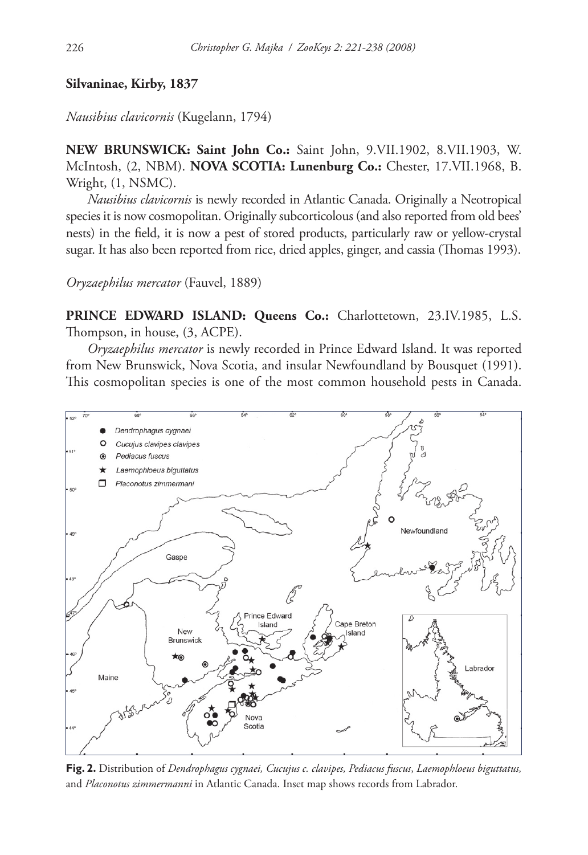#### **Silvaninae, Kirby, 1837**

*Nausibius clavicornis* (Kugelann, 1794)

**NEW BRUNSWICK: Saint John Co.:** Saint John, 9.VII.1902, 8.VII.1903, W. McIntosh, (2, NBM). **NOVA SCOTIA: Lunenburg Co.:** Chester, 17.VII.1968, B. Wright, (1, NSMC).

*Nausibius clavicornis* is newly recorded in Atlantic Canada. Originally a Neotropical species it is now cosmopolitan. Originally subcorticolous (and also reported from old bees' nests) in the field, it is now a pest of stored products, particularly raw or yellow-crystal sugar. It has also been reported from rice, dried apples, ginger, and cassia (Thomas 1993).

*Oryzaephilus mercator* (Fauvel, 1889)

**PRINCE EDWARD ISLAND: Queens Co.:** Charlottetown, 23.IV.1985, L.S. Thompson, in house,  $(3, ACPE)$ .

*Oryzaephilus mercator* is newly recorded in Prince Edward Island. It was reported from New Brunswick, Nova Scotia, and insular Newfoundland by Bousquet (1991). This cosmopolitan species is one of the most common household pests in Canada.



**Fig. 2.** Distribution of *Dendrophagus cygnaei, Cucujus c. clavipes, Pediacus fuscus*, *Laemophloeus biguttatus,* and *Placonotus zimmermanni* in Atlantic Canada. Inset map shows records from Labrador.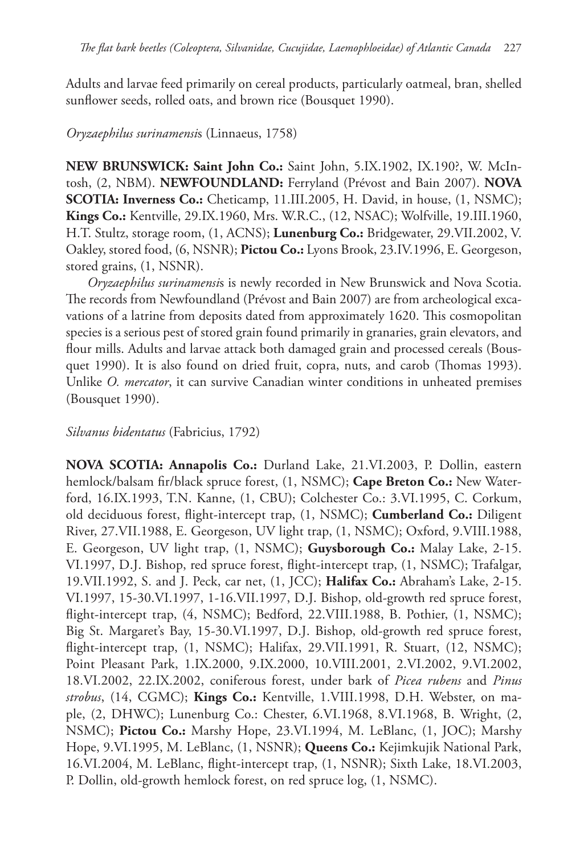Adults and larvae feed primarily on cereal products, particularly oatmeal, bran, shelled sunflower seeds, rolled oats, and brown rice (Bousquet 1990).

# *Oryzaephilus surinamensi*s (Linnaeus, 1758)

**NEW BRUNSWICK: Saint John Co.:** Saint John, 5.IX.1902, IX.190?, W. McIntosh, (2, NBM). **NEWFOUNDLAND:** Ferryland (Prévost and Bain 2007). **NOVA SCOTIA: Inverness Co.:** Cheticamp, 11.III.2005, H. David, in house, (1, NSMC); **Kings Co.:** Kentville, 29.IX.1960, Mrs. W.R.C., (12, NSAC); Wolfville, 19.III.1960, H.T. Stultz, storage room, (1, ACNS); **Lunenburg Co.:** Bridgewater, 29.VII.2002, V. Oakley, stored food, (6, NSNR); **Pictou Co.:** Lyons Brook, 23.IV.1996, E. Georgeson, stored grains, (1, NSNR).

*Oryzaephilus surinamensi*s is newly recorded in New Brunswick and Nova Scotia. The records from Newfoundland (Prévost and Bain 2007) are from archeological excavations of a latrine from deposits dated from approximately 1620. This cosmopolitan species is a serious pest of stored grain found primarily in granaries, grain elevators, and flour mills. Adults and larvae attack both damaged grain and processed cereals (Bousquet 1990). It is also found on dried fruit, copra, nuts, and carob (Thomas 1993). Unlike *O. mercator*, it can survive Canadian winter conditions in unheated premises (Bousquet 1990).

*Silvanus bidentatus* (Fabricius, 1792)

**NOVA SCOTIA: Annapolis Co.:** Durland Lake, 21.VI.2003, P. Dollin, eastern hemlock/balsam fir/black spruce forest, (1, NSMC); Cape Breton Co.: New Waterford, 16.IX.1993, T.N. Kanne, (1, CBU); Colchester Co.: 3.VI.1995, C. Corkum, old deciduous forest, flight-intercept trap, (1, NSMC); **Cumberland Co.:** Diligent River, 27.VII.1988, E. Georgeson, UV light trap, (1, NSMC); Oxford, 9.VIII.1988, E. Georgeson, UV light trap, (1, NSMC); **Guysborough Co.:** Malay Lake, 2-15. VI.1997, D.J. Bishop, red spruce forest, flight-intercept trap, (1, NSMC); Trafalgar, 19.VII.1992, S. and J. Peck, car net, (1, JCC); **Halifax Co.:** Abraham's Lake, 2-15. VI.1997, 15-30.VI.1997, 1-16.VII.1997, D.J. Bishop, old-growth red spruce forest, flight-intercept trap, (4, NSMC); Bedford, 22.VIII.1988, B. Pothier, (1, NSMC); Big St. Margaret's Bay, 15-30.VI.1997, D.J. Bishop, old-growth red spruce forest, flight-intercept trap,  $(1, NSMC)$ ; Halifax, 29.VII.1991, R. Stuart,  $(12, NSMC)$ ; Point Pleasant Park, 1.IX.2000, 9.IX.2000, 10.VIII.2001, 2.VI.2002, 9.VI.2002, 18.VI.2002, 22.IX.2002, coniferous forest, under bark of *Picea rubens* and *Pinus strobus*, (14, CGMC); **Kings Co.:** Kentville, 1.VIII.1998, D.H. Webster, on maple, (2, DHWC); Lunenburg Co.: Chester, 6.VI.1968, 8.VI.1968, B. Wright, (2, NSMC); **Pictou Co.:** Marshy Hope, 23.VI.1994, M. LeBlanc, (1, JOC); Marshy Hope, 9.VI.1995, M. LeBlanc, (1, NSNR); **Queens Co.:** Kejimkujik National Park, 16.VI.2004, M. LeBlanc, flight-intercept trap, (1, NSNR); Sixth Lake, 18.VI.2003, P. Dollin, old-growth hemlock forest, on red spruce log, (1, NSMC).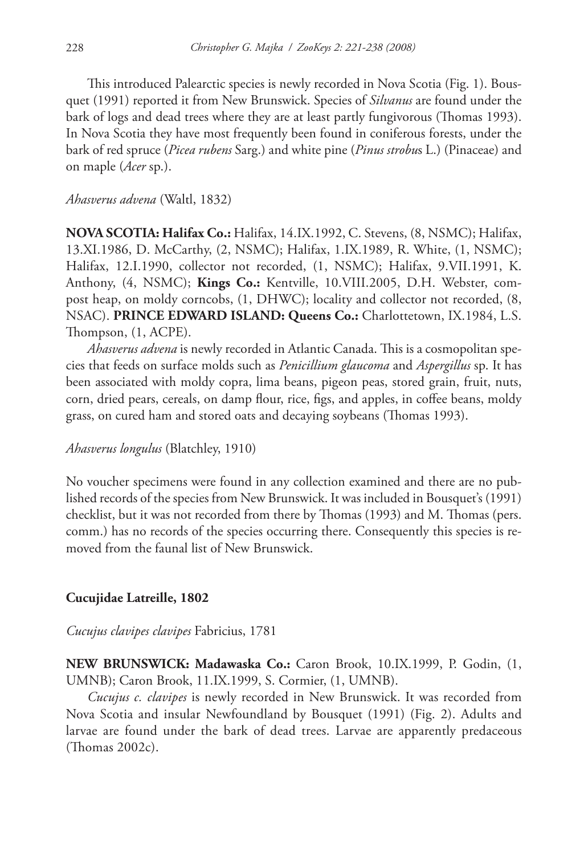This introduced Palearctic species is newly recorded in Nova Scotia (Fig. 1). Bousquet (1991) reported it from New Brunswick. Species of *Silvanus* are found under the bark of logs and dead trees where they are at least partly fungivorous (Thomas 1993). In Nova Scotia they have most frequently been found in coniferous forests, under the bark of red spruce (*Picea rubens* Sarg.) and white pine (*Pinus strobu*s L.) (Pinaceae) and on maple (*Acer* sp.).

#### *Ahasverus advena* (Waltl, 1832)

**NOVA SCOTIA: Halifax Co.:** Halifax, 14.IX.1992, C. Stevens, (8, NSMC); Halifax, 13.XI.1986, D. McCarthy, (2, NSMC); Halifax, 1.IX.1989, R. White, (1, NSMC); Halifax, 12.I.1990, collector not recorded, (1, NSMC); Halifax, 9.VII.1991, K. Anthony, (4, NSMC); **Kings Co.:** Kentville, 10.VIII.2005, D.H. Webster, compost heap, on moldy corncobs, (1, DHWC); locality and collector not recorded, (8, NSAC). **PRINCE EDWARD ISLAND: Queens Co.:** Charlottetown, IX.1984, L.S. Thompson,  $(1, ACPE)$ .

*Ahasverus advena* is newly recorded in Atlantic Canada. This is a cosmopolitan species that feeds on surface molds such as *Penicillium glaucoma* and *Aspergillus* sp. It has been associated with moldy copra, lima beans, pigeon peas, stored grain, fruit, nuts, corn, dried pears, cereals, on damp flour, rice, figs, and apples, in coffee beans, moldy grass, on cured ham and stored oats and decaying soybeans (Thomas 1993).

*Ahasverus longulus* (Blatchley, 1910)

No voucher specimens were found in any collection examined and there are no published records of the species from New Brunswick. It was included in Bousquet's (1991) checklist, but it was not recorded from there by Thomas (1993) and M. Thomas (pers. comm.) has no records of the species occurring there. Consequently this species is removed from the faunal list of New Brunswick.

# **Cucujidae Latreille, 1802**

*Cucujus clavipes clavipes* Fabricius, 1781

**NEW BRUNSWICK: Madawaska Co.:** Caron Brook, 10.IX.1999, P. Godin, (1, UMNB); Caron Brook, 11.IX.1999, S. Cormier, (1, UMNB).

*Cucujus c. clavipes* is newly recorded in New Brunswick. It was recorded from Nova Scotia and insular Newfoundland by Bousquet (1991) (Fig. 2). Adults and larvae are found under the bark of dead trees. Larvae are apparently predaceous  $(Thomas 2002c).$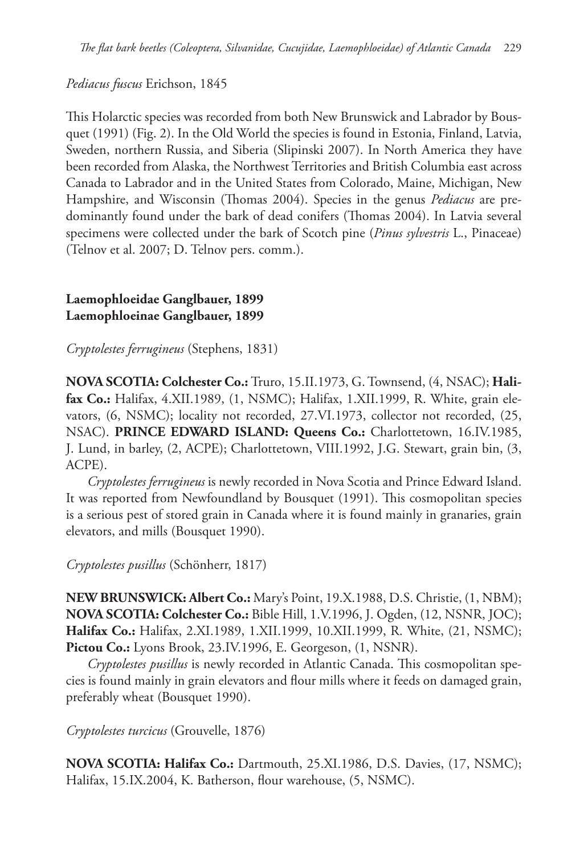*Pediacus fuscus* Erichson, 1845

This Holarctic species was recorded from both New Brunswick and Labrador by Bousquet (1991) (Fig. 2). In the Old World the species is found in Estonia, Finland, Latvia, Sweden, northern Russia, and Siberia (Slipinski 2007). In North America they have been recorded from Alaska, the Northwest Territories and British Columbia east across Canada to Labrador and in the United States from Colorado, Maine, Michigan, New Hampshire, and Wisconsin (Thomas 2004). Species in the genus *Pediacus* are predominantly found under the bark of dead conifers (Thomas 2004). In Latvia several specimens were collected under the bark of Scotch pine (*Pinus sylvestris* L., Pinaceae) (Telnov et al. 2007; D. Telnov pers. comm.).

# **Laemophloeidae Ganglbauer, 1899 Laemophloeinae Ganglbauer, 1899**

*Cryptolestes ferrugineus* (Stephens, 1831)

**NOVA SCOTIA: Colchester Co.:** Truro, 15.II.1973, G. Townsend, (4, NSAC); **Halifax Co.:** Halifax, 4.XII.1989, (1, NSMC); Halifax, 1.XII.1999, R. White, grain elevators, (6, NSMC); locality not recorded, 27.VI.1973, collector not recorded, (25, NSAC). **PRINCE EDWARD ISLAND: Queens Co.:** Charlottetown, 16.IV.1985, J. Lund, in barley, (2, ACPE); Charlottetown, VIII.1992, J.G. Stewart, grain bin, (3, ACPE).

*Cryptolestes ferrugineus* is newly recorded in Nova Scotia and Prince Edward Island. It was reported from Newfoundland by Bousquet (1991). This cosmopolitan species is a serious pest of stored grain in Canada where it is found mainly in granaries, grain elevators, and mills (Bousquet 1990).

*Cryptolestes pusillus* (Schönherr, 1817)

**NEW BRUNSWICK: Albert Co.:** Mary's Point, 19.X.1988, D.S. Christie, (1, NBM); **NOVA SCOTIA: Colchester Co.:** Bible Hill, 1.V.1996, J. Ogden, (12, NSNR, JOC); **Halifax Co.:** Halifax, 2.XI.1989, 1.XII.1999, 10.XII.1999, R. White, (21, NSMC); **Pictou Co.:** Lyons Brook, 23.IV.1996, E. Georgeson, (1, NSNR).

*Cryptolestes pusillus* is newly recorded in Atlantic Canada. This cosmopolitan species is found mainly in grain elevators and flour mills where it feeds on damaged grain, preferably wheat (Bousquet 1990).

*Cryptolestes turcicus* (Grouvelle, 1876)

**NOVA SCOTIA: Halifax Co.:** Dartmouth, 25.XI.1986, D.S. Davies, (17, NSMC); Halifax, 15.IX.2004, K. Batherson, flour warehouse, (5, NSMC).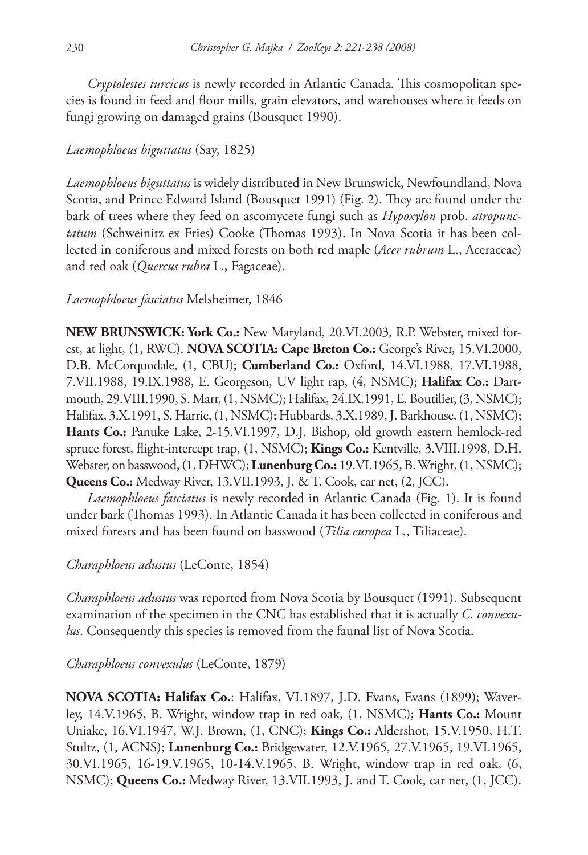*Cryptolestes turcicus* is newly recorded in Atlantic Canada. This cosmopolitan species is found in feed and flour mills, grain elevators, and warehouses where it feeds on fungi growing on damaged grains (Bousquet 1990).

# *Laemophloeus biguttatus* (Say, 1825)

*Laemophloeus biguttatus* is widely distributed in New Brunswick, Newfoundland, Nova Scotia, and Prince Edward Island (Bousquet 1991) (Fig. 2). They are found under the bark of trees where they feed on ascomycete fungi such as *Hypoxylon* prob. *atropunctatum* (Schweinitz ex Fries) Cooke (Thomas 1993). In Nova Scotia it has been collected in coniferous and mixed forests on both red maple (*Acer rubrum* L., Aceraceae) and red oak (*Quercus rubra* L., Fagaceae).

# *Laemophloeus fasciatus* Melsheimer, 1846

**NEW BRUNSWICK: York Co.:** New Maryland, 20.VI.2003, R.P. Webster, mixed forest, at light, (1, RWC). **NOVA SCOTIA: Cape Breton Co.:** George's River, 15.VI.2000, D.B. McCorquodale, (1, CBU); **Cumberland Co.:** Oxford, 14.VI.1988, 17.VI.1988, 7.VII.1988, 19.IX.1988, E. Georgeson, UV light rap, (4, NSMC); **Halifax Co.:** Dartmouth, 29.VIII.1990, S. Marr, (1, NSMC); Halifax, 24.IX.1991, E. Boutilier, (3, NSMC); Halifax, 3.X.1991, S. Harrie, (1, NSMC); Hubbards, 3.X.1989, J. Barkhouse, (1, NSMC); **Hants Co.:** Panuke Lake, 2-15.VI.1997, D.J. Bishop, old growth eastern hemlock-red spruce forest, flight-intercept trap, (1, NSMC); **Kings Co.:** Kentville, 3.VIII.1998, D.H. Webster, on basswood, (1, DHWC); **Lunenburg Co.:** 19.VI.1965, B. Wright, (1, NSMC); **Queens Co.:** Medway River, 13.VII.1993, J. & T. Cook, car net, (2, JCC).

*Laemophloeus fasciatus* is newly recorded in Atlantic Canada (Fig. 1). It is found under bark (Thomas 1993). In Atlantic Canada it has been collected in coniferous and mixed forests and has been found on basswood (*Tilia europea* L., Tiliaceae).

# *Charaphloeus adustus* (LeConte, 1854)

*Charaphloeus adustus* was reported from Nova Scotia by Bousquet (1991). Subsequent examination of the specimen in the CNC has established that it is actually *C. convexulus*. Consequently this species is removed from the faunal list of Nova Scotia.

*Charaphloeus convexulus* (LeConte, 1879)

**NOVA SCOTIA: Halifax Co.**: Halifax, VI.1897, J.D. Evans, Evans (1899); Waverley, 14.V.1965, B. Wright, window trap in red oak, (1, NSMC); **Hants Co.:** Mount Uniake, 16.VI.1947, W.J. Brown, (1, CNC); **Kings Co.:** Aldershot, 15.V.1950, H.T. Stultz, (1, ACNS); **Lunenburg Co.:** Bridgewater, 12.V.1965, 27.V.1965, 19.VI.1965, 30.VI.1965, 16-19.V.1965, 10-14.V.1965, B. Wright, window trap in red oak, (6, NSMC); **Queens Co.:** Medway River, 13.VII.1993, J. and T. Cook, car net, (1, JCC).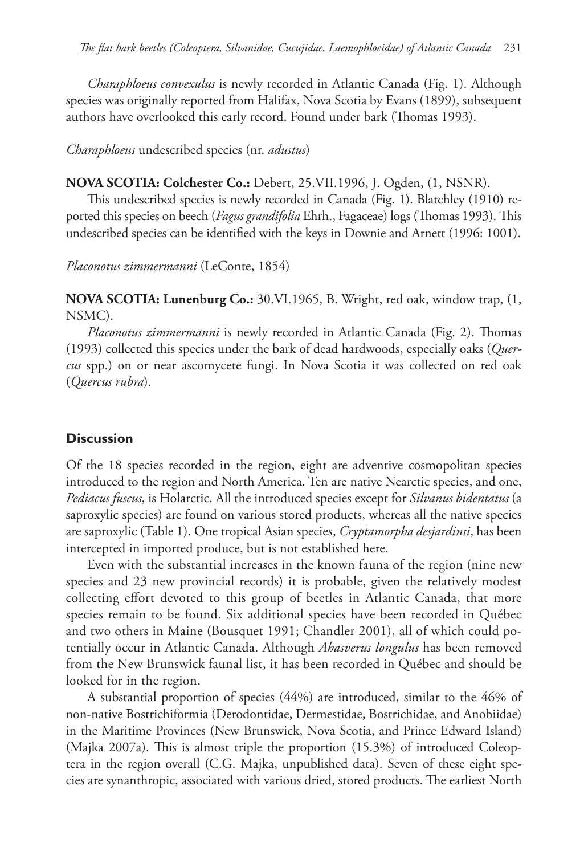*Charaphloeus convexulus* is newly recorded in Atlantic Canada (Fig. 1). Although species was originally reported from Halifax, Nova Scotia by Evans (1899), subsequent authors have overlooked this early record. Found under bark (Thomas 1993).

*Charaphloeus* undescribed species (nr. *adustus*)

### **NOVA SCOTIA: Colchester Co.:** Debert, 25.VII.1996, J. Ogden, (1, NSNR).

This undescribed species is newly recorded in Canada (Fig. 1). Blatchley (1910) reported this species on beech (*Fagus grandifolia* Ehrh., Fagaceae) logs (Thomas 1993). This undescribed species can be identified with the keys in Downie and Arnett (1996: 1001).

*Placonotus zimmermanni* (LeConte, 1854)

**NOVA SCOTIA: Lunenburg Co.:** 30.VI.1965, B. Wright, red oak, window trap, (1, NSMC).

*Placonotus zimmermanni* is newly recorded in Atlantic Canada (Fig. 2). Thomas (1993) collected this species under the bark of dead hardwoods, especially oaks (*Quercus* spp.) on or near ascomycete fungi. In Nova Scotia it was collected on red oak (*Quercus rubra*).

# **Discussion**

Of the 18 species recorded in the region, eight are adventive cosmopolitan species introduced to the region and North America. Ten are native Nearctic species, and one, *Pediacus fuscus*, is Holarctic. All the introduced species except for *Silvanus bidentatus* (a saproxylic species) are found on various stored products, whereas all the native species are saproxylic (Table 1). One tropical Asian species, *Cryptamorpha desjardinsi*, has been intercepted in imported produce, but is not established here.

Even with the substantial increases in the known fauna of the region (nine new species and 23 new provincial records) it is probable, given the relatively modest collecting effort devoted to this group of beetles in Atlantic Canada, that more species remain to be found. Six additional species have been recorded in Québec and two others in Maine (Bousquet 1991; Chandler 2001), all of which could potentially occur in Atlantic Canada. Although *Ahasverus longulus* has been removed from the New Brunswick faunal list, it has been recorded in Québec and should be looked for in the region.

A substantial proportion of species (44%) are introduced, similar to the 46% of non-native Bostrichiformia (Derodontidae, Dermestidae, Bostrichidae, and Anobiidae) in the Maritime Provinces (New Brunswick, Nova Scotia, and Prince Edward Island) (Majka 2007a). This is almost triple the proportion  $(15.3%)$  of introduced Coleoptera in the region overall (C.G. Majka, unpublished data). Seven of these eight species are synanthropic, associated with various dried, stored products. The earliest North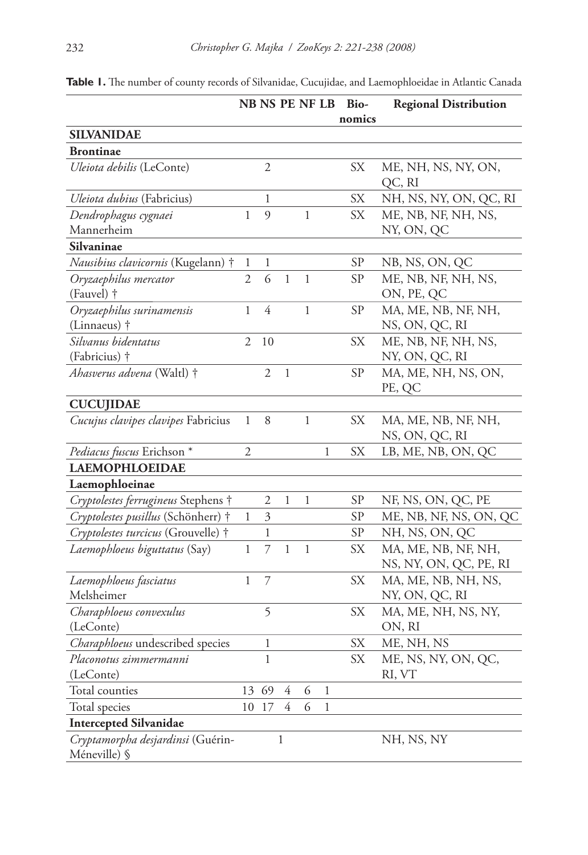|                                     |                |                |                |              |              | NB NS PE NF LB Bio- | <b>Regional Distribution</b> |
|-------------------------------------|----------------|----------------|----------------|--------------|--------------|---------------------|------------------------------|
|                                     |                |                |                |              |              | nomics              |                              |
| <b>SILVANIDAE</b>                   |                |                |                |              |              |                     |                              |
| <b>Brontinae</b>                    |                |                |                |              |              |                     |                              |
| Uleiota debilis (LeConte)           |                | $\mathfrak{2}$ |                |              |              | SX                  | ME, NH, NS, NY, ON,          |
|                                     |                |                |                |              |              |                     | QC, RI                       |
| Uleiota dubius (Fabricius)          |                | 1              |                |              |              | SX                  | NH, NS, NY, ON, QC, RI       |
| Dendrophagus cygnaei                | 1              | 9              |                | $\mathbf{1}$ |              | SX                  | ME, NB, NF, NH, NS,          |
| Mannerheim                          |                |                |                |              |              |                     | NY, ON, QC                   |
| Silvaninae                          |                |                |                |              |              |                     |                              |
| Nausibius clavicornis (Kugelann) †  | 1              | 1              |                |              |              | <b>SP</b>           | NB, NS, ON, QC               |
| Oryzaephilus mercator               | 2              | 6              | $\mathbf{1}$   | $\mathbf{1}$ |              | <b>SP</b>           | ME, NB, NF, NH, NS,          |
| (Fauvel) †                          |                |                |                |              |              |                     | ON, PE, QC                   |
| Oryzaephilus surinamensis           | 1              | $\overline{4}$ |                | $\mathbf 1$  |              | <b>SP</b>           | MA, ME, NB, NF, NH,          |
| (Linnaeus) †                        |                |                |                |              |              |                     | NS, ON, QC, RI               |
| Silvanus bidentatus                 | $\mathfrak{2}$ | 10             |                |              |              | SX                  | ME, NB, NF, NH, NS,          |
| (Fabricius) †                       |                |                |                |              |              |                     | NY, ON, QC, RI               |
| Ahasverus advena (Waltl) †          |                | 2              | $\mathbf{1}$   |              |              | SP                  | MA, ME, NH, NS, ON,          |
|                                     |                |                |                |              |              |                     | PE, QC                       |
| <b>CUCUJIDAE</b>                    |                |                |                |              |              |                     |                              |
| Cucujus clavipes clavipes Fabricius | $\mathbf{1}$   | 8              |                | $\mathbf{1}$ |              | SX                  | MA, ME, NB, NF, NH,          |
|                                     |                |                |                |              |              |                     | NS, ON, QC, RI               |
| Pediacus fuscus Erichson *          | 2              |                |                |              | 1            | SX                  | LB, ME, NB, ON, QC           |
| <b>LAEMOPHLOEIDAE</b>               |                |                |                |              |              |                     |                              |
| Laemophloeinae                      |                |                |                |              |              |                     |                              |
| Cryptolestes ferrugineus Stephens † |                | 2              | 1              | 1            |              | <b>SP</b>           | NF, NS, ON, QC, PE           |
| Cryptolestes pusillus (Schönherr) † | 1              | 3              |                |              |              | <b>SP</b>           | ME, NB, NF, NS, ON, QC       |
| Cryptolestes turcicus (Grouvelle) † |                | 1              |                |              |              | <b>SP</b>           | NH, NS, ON, QC               |
| Laemophloeus biguttatus (Say)       | $\mathbf{1}$   | $\overline{7}$ | $\,1$          | $\mathbf{1}$ |              | <b>SX</b>           | MA, ME, NB, NF, NH,          |
|                                     |                |                |                |              |              |                     | NS, NY, ON, QC, PE, RI       |
| Laemophloeus fasciatus              | $\mathbf{1}$   | 7              |                |              |              | <b>SX</b>           | MA, ME, NB, NH, NS,          |
| Melsheimer                          |                |                |                |              |              |                     | NY, ON, QC, RI               |
| Charaphloeus convexulus             |                | 5              |                |              |              | SX                  | MA, ME, NH, NS, NY,          |
| (LeConte)                           |                |                |                |              |              |                     | ON, RI                       |
| Charaphloeus undescribed species    |                | 1              |                |              |              | SX                  | ME, NH, NS                   |
| Placonotus zimmermanni              |                | 1              |                |              |              | SX                  | ME, NS, NY, ON, QC,          |
| (LeConte)                           |                |                |                |              |              |                     | RI, VT                       |
| Total counties                      |                | 13 69          | 4              | 6            | $\,1$        |                     |                              |
| Total species                       |                | 17             | $\overline{4}$ | 6            | $\mathbf{1}$ |                     |                              |
| <b>Intercepted Silvanidae</b>       |                |                |                |              |              |                     |                              |
| Cryptamorpha desjardinsi (Guérin-   |                |                | $\mathbf{1}$   |              |              |                     | NH, NS, NY                   |
| Méneville) §                        |                |                |                |              |              |                     |                              |

Table 1. The number of county records of Silvanidae, Cucujidae, and Laemophloeidae in Atlantic Canada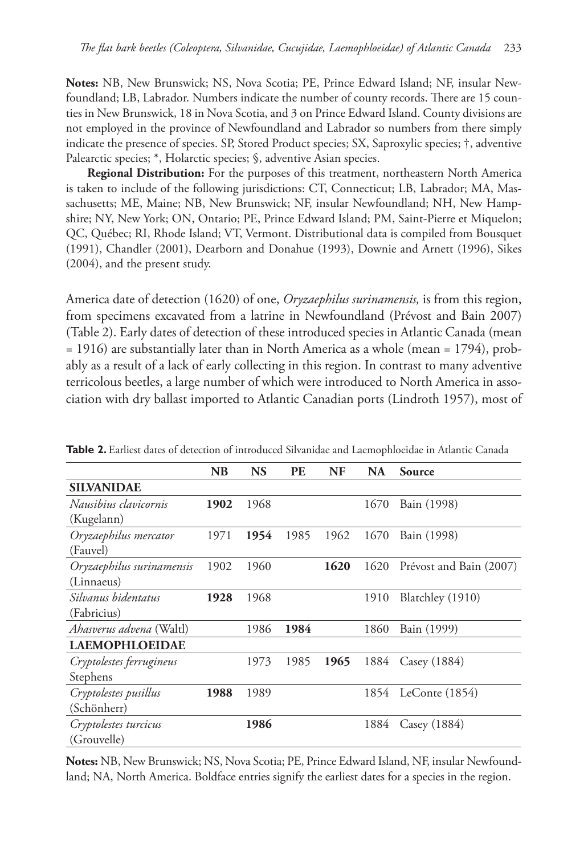**Notes:** NB, New Brunswick; NS, Nova Scotia; PE, Prince Edward Island; NF, insular Newfoundland; LB, Labrador. Numbers indicate the number of county records. There are 15 counties in New Brunswick, 18 in Nova Scotia, and 3 on Prince Edward Island. County divisions are not employed in the province of Newfoundland and Labrador so numbers from there simply indicate the presence of species. SP, Stored Product species; SX, Saproxylic species; †, adventive Palearctic species; \*, Holarctic species; §, adventive Asian species.

**Regional Distribution:** For the purposes of this treatment, northeastern North America is taken to include of the following jurisdictions: CT, Connecticut; LB, Labrador; MA, Massachusetts; ME, Maine; NB, New Brunswick; NF, insular Newfoundland; NH, New Hampshire; NY, New York; ON, Ontario; PE, Prince Edward Island; PM, Saint-Pierre et Miquelon; QC, Québec; RI, Rhode Island; VT, Vermont. Distributional data is compiled from Bousquet (1991), Chandler (2001), Dearborn and Donahue (1993), Downie and Arnett (1996), Sikes (2004), and the present study.

America date of detection (1620) of one, *Oryzaephilus surinamensis,* is from this region, from specimens excavated from a latrine in Newfoundland (Prévost and Bain 2007) (Table 2). Early dates of detection of these introduced species in Atlantic Canada (mean = 1916) are substantially later than in North America as a whole (mean = 1794), probably as a result of a lack of early collecting in this region. In contrast to many adventive terricolous beetles, a large number of which were introduced to North America in association with dry ballast imported to Atlantic Canadian ports (Lindroth 1957), most of

|                                 | NB   | <b>NS</b> | <b>PE</b> | <b>NF</b> | <b>NA</b> | Source                  |
|---------------------------------|------|-----------|-----------|-----------|-----------|-------------------------|
| <b>SILVANIDAE</b>               |      |           |           |           |           |                         |
| Nausibius clavicornis           | 1902 | 1968      |           |           | 1670      | Bain (1998)             |
| (Kugelann)                      |      |           |           |           |           |                         |
| Oryzaephilus mercator           | 1971 | 1954      | 1985      | 1962      | 1670      | Bain (1998)             |
| (Fauvel)                        |      |           |           |           |           |                         |
| Oryzaephilus surinamensis       | 1902 | 1960      |           | 1620      | 1620      | Prévost and Bain (2007) |
| (Linnaeus)                      |      |           |           |           |           |                         |
| Silvanus bidentatus             | 1928 | 1968      |           |           | 1910      | Blatchley (1910)        |
| (Fabricius)                     |      |           |           |           |           |                         |
| <i>Ahasverus advena</i> (Waltl) |      | 1986      | 1984      |           | 1860      | Bain (1999)             |
| <b>LAEMOPHLOEIDAE</b>           |      |           |           |           |           |                         |
| Cryptolestes ferrugineus        |      | 1973      | 1985      | 1965      | 1884      | Casey $(1884)$          |
| Stephens                        |      |           |           |           |           |                         |
| Cryptolestes pusillus           | 1988 | 1989      |           |           |           | 1854 LeConte (1854)     |
| (Schönherr)                     |      |           |           |           |           |                         |
| Cryptolestes turcicus           |      | 1986      |           |           | 1884      | Casey (1884)            |
| (Grouvelle)                     |      |           |           |           |           |                         |

**Table 2.** Earliest dates of detection of introduced Silvanidae and Laemophloeidae in Atlantic Canada

**Notes:** NB, New Brunswick; NS, Nova Scotia; PE, Prince Edward Island, NF, insular Newfoundland; NA, North America. Boldface entries signify the earliest dates for a species in the region.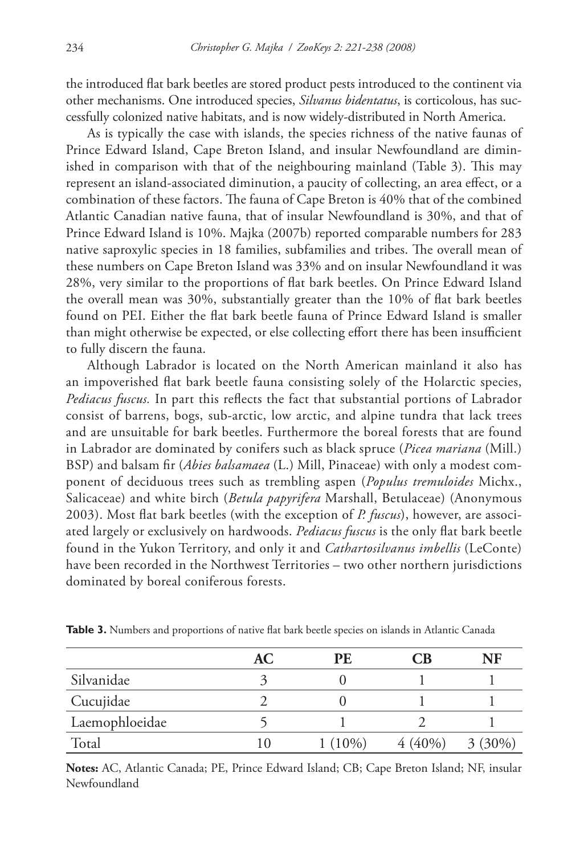the introduced flat bark beetles are stored product pests introduced to the continent via other mechanisms. One introduced species, *Silvanus bidentatus*, is corticolous, has successfully colonized native habitats, and is now widely-distributed in North America.

As is typically the case with islands, the species richness of the native faunas of Prince Edward Island, Cape Breton Island, and insular Newfoundland are diminished in comparison with that of the neighbouring mainland (Table 3). This may represent an island-associated diminution, a paucity of collecting, an area effect, or a combination of these factors. The fauna of Cape Breton is 40% that of the combined Atlantic Canadian native fauna, that of insular Newfoundland is 30%, and that of Prince Edward Island is 10%. Majka (2007b) reported comparable numbers for 283 native saproxylic species in 18 families, subfamilies and tribes. The overall mean of these numbers on Cape Breton Island was 33% and on insular Newfoundland it was 28%, very similar to the proportions of flat bark beetles. On Prince Edward Island the overall mean was 30%, substantially greater than the 10% of flat bark beetles found on PEI. Either the flat bark beetle fauna of Prince Edward Island is smaller than might otherwise be expected, or else collecting effort there has been insufficient to fully discern the fauna.

Although Labrador is located on the North American mainland it also has an impoverished flat bark beetle fauna consisting solely of the Holarctic species, Pediacus fuscus. In part this reflects the fact that substantial portions of Labrador consist of barrens, bogs, sub-arctic, low arctic, and alpine tundra that lack trees and are unsuitable for bark beetles. Furthermore the boreal forests that are found in Labrador are dominated by conifers such as black spruce (*Picea mariana* (Mill.) BSP) and balsam fir (*Abies balsamaea* (L.) Mill, Pinaceae) with only a modest component of deciduous trees such as trembling aspen (*Populus tremuloides* Michx., Salicaceae) and white birch (*Betula papyrifera* Marshall, Betulaceae) (Anonymous 2003). Most flat bark beetles (with the exception of *P. fuscus*), however, are associated largely or exclusively on hardwoods. *Pediacus fuscus* is the only flat bark beetle found in the Yukon Territory, and only it and *Cathartosilvanus imbellis* (LeConte) have been recorded in the Northwest Territories – two other northern jurisdictions dominated by boreal coniferous forests.

|                | AC | PE        | CB        | NF        |
|----------------|----|-----------|-----------|-----------|
| Silvanidae     |    |           |           |           |
| Cucujidae      |    |           |           |           |
| Laemophloeidae |    |           |           |           |
| Total          | 10 | $1(10\%)$ | $4(40\%)$ | $3(30\%)$ |

**Table 3.** Numbers and proportions of native flat bark beetle species on islands in Atlantic Canada

**Notes:** AC, Atlantic Canada; PE, Prince Edward Island; CB; Cape Breton Island; NF, insular Newfoundland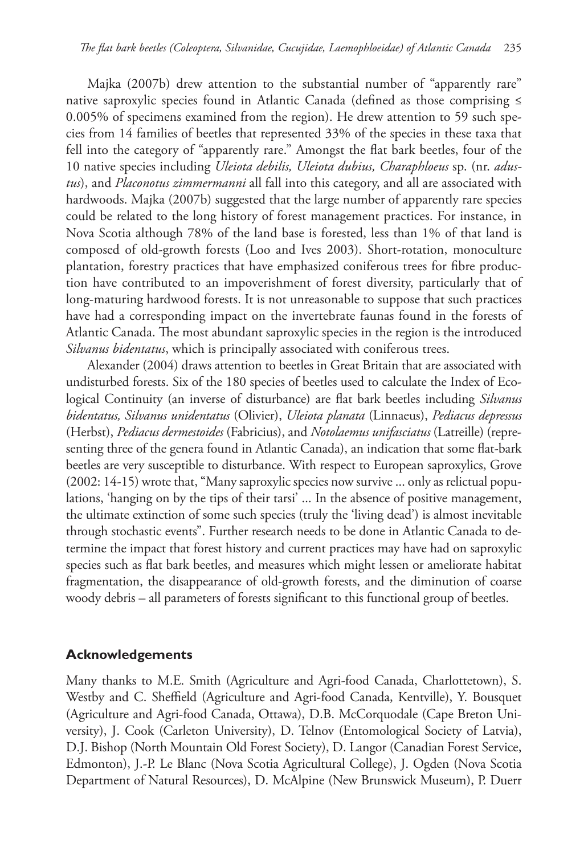Majka (2007b) drew attention to the substantial number of "apparently rare" native saproxylic species found in Atlantic Canada (defined as those comprising  $\leq$ 0.005% of specimens examined from the region). He drew attention to 59 such species from 14 families of beetles that represented 33% of the species in these taxa that fell into the category of "apparently rare." Amongst the flat bark beetles, four of the 10 native species including *Uleiota debilis, Uleiota dubius, Charaphloeus* sp. (nr. *adustus*), and *Placonotus zimmermanni* all fall into this category, and all are associated with hardwoods. Majka (2007b) suggested that the large number of apparently rare species could be related to the long history of forest management practices. For instance, in Nova Scotia although 78% of the land base is forested, less than 1% of that land is composed of old-growth forests (Loo and Ives 2003). Short-rotation, monoculture plantation, forestry practices that have emphasized coniferous trees for fibre production have contributed to an impoverishment of forest diversity, particularly that of long-maturing hardwood forests. It is not unreasonable to suppose that such practices have had a corresponding impact on the invertebrate faunas found in the forests of Atlantic Canada. The most abundant saproxylic species in the region is the introduced *Silvanus bidentatus*, which is principally associated with coniferous trees.

Alexander (2004) draws attention to beetles in Great Britain that are associated with undisturbed forests. Six of the 180 species of beetles used to calculate the Index of Ecological Continuity (an inverse of disturbance) are flat bark beetles including *Silvanus bidentatus, Silvanus unidentatus* (Olivier), *Uleiota planata* (Linnaeus), *Pediacus depressus*  (Herbst), *Pediacus dermestoides* (Fabricius), and *Notolaemus unifasciatus* (Latreille) (representing three of the genera found in Atlantic Canada), an indication that some flat-bark beetles are very susceptible to disturbance. With respect to European saproxylics, Grove (2002: 14-15) wrote that, "Many saproxylic species now survive ... only as relictual populations, 'hanging on by the tips of their tarsi' ... In the absence of positive management, the ultimate extinction of some such species (truly the 'living dead') is almost inevitable through stochastic events". Further research needs to be done in Atlantic Canada to determine the impact that forest history and current practices may have had on saproxylic species such as flat bark beetles, and measures which might lessen or ameliorate habitat fragmentation, the disappearance of old-growth forests, and the diminution of coarse woody debris – all parameters of forests significant to this functional group of beetles.

# **Acknowledgements**

Many thanks to M.E. Smith (Agriculture and Agri-food Canada, Charlottetown), S. Westby and C. Sheffield (Agriculture and Agri-food Canada, Kentville), Y. Bousquet (Agriculture and Agri-food Canada, Ottawa), D.B. McCorquodale (Cape Breton University), J. Cook (Carleton University), D. Telnov (Entomological Society of Latvia), D.J. Bishop (North Mountain Old Forest Society), D. Langor (Canadian Forest Service, Edmonton), J.-P. Le Blanc (Nova Scotia Agricultural College), J. Ogden (Nova Scotia Department of Natural Resources), D. McAlpine (New Brunswick Museum), P. Duerr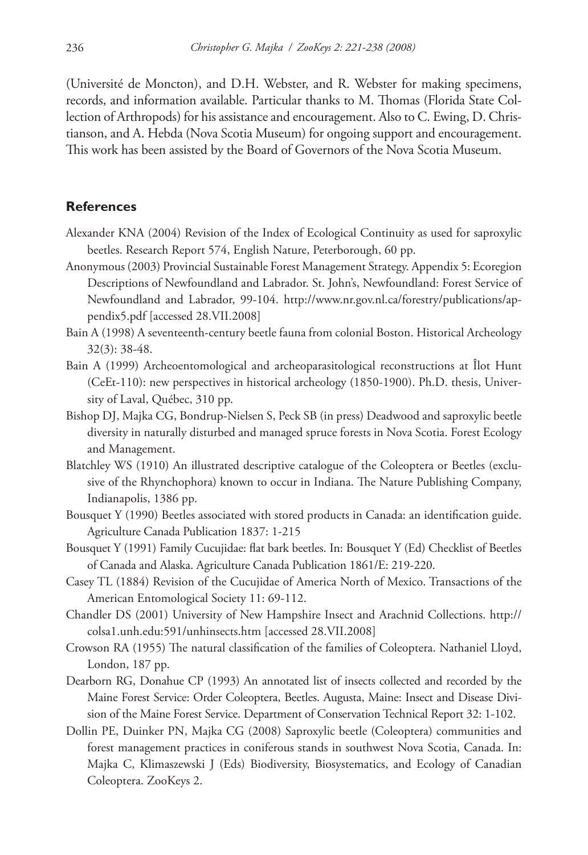(Université de Moncton), and D.H. Webster, and R. Webster for making specimens, records, and information available. Particular thanks to M. Thomas (Florida State Collection of Arthropods) for his assistance and encouragement. Also to C. Ewing, D. Christianson, and A. Hebda (Nova Scotia Museum) for ongoing support and encouragement. This work has been assisted by the Board of Governors of the Nova Scotia Museum.

#### **References**

- Alexander KNA (2004) Revision of the Index of Ecological Continuity as used for saproxylic beetles. Research Report 574, English Nature, Peterborough, 60 pp.
- Anonymous (2003) Provincial Sustainable Forest Management Strategy. Appendix 5: Ecoregion Descriptions of Newfoundland and Labrador. St. John's, Newfoundland: Forest Service of [Newfoundland and Labrador, 99-104. http://www.nr.gov.nl.ca/forestry/publications/ap](http://www.nr.gov.nl.ca/forestry/publications/appendix5.pdf)pendix5.pdf [accessed 28.VII.2008]
- Bain A (1998) A seventeenth-century beetle fauna from colonial Boston. Historical Archeology 32(3): 38-48.
- Bain A (1999) Archeoentomological and archeoparasitological reconstructions at Îlot Hunt (CeEt-110): new perspectives in historical archeology (1850-1900). Ph.D. thesis, University of Laval, Québec, 310 pp.
- Bishop DJ, Majka CG, Bondrup-Nielsen S, Peck SB (in press) Deadwood and saproxylic beetle diversity in naturally disturbed and managed spruce forests in Nova Scotia. Forest Ecology and Management.
- Blatchley WS (1910) An illustrated descriptive catalogue of the Coleoptera or Beetles (exclusive of the Rhynchophora) known to occur in Indiana. The Nature Publishing Company, Indianapolis, 1386 pp.
- Bousquet Y (1990) Beetles associated with stored products in Canada: an identification guide. Agriculture Canada Publication 1837: 1-215
- Bousquet Y (1991) Family Cucujidae: flat bark beetles. In: Bousquet Y (Ed) Checklist of Beetles of Canada and Alaska. Agriculture Canada Publication 1861/E: 219-220.
- Casey TL (1884) Revision of the Cucujidae of America North of Mexico. Transactions of the American Entomological Society 11: 69-112.
- Cha[ndler DS \(2001\) University of New Hampshire Insect and Arachnid Collections. http://](http://colsa1.unh.edu:591/unhinsects.htm) colsa1.unh.edu:591/unhinsects.htm [accessed 28.VII.2008]
- Crowson RA (1955) The natural classification of the families of Coleoptera. Nathaniel Lloyd, London, 187 pp.
- Dearborn RG, Donahue CP (1993) An annotated list of insects collected and recorded by the Maine Forest Service: Order Coleoptera, Beetles. Augusta, Maine: Insect and Disease Division of the Maine Forest Service. Department of Conservation Technical Report 32: 1-102.
- Dollin PE, Duinker PN, Majka CG (2008) Saproxylic beetle (Coleoptera) communities and forest management practices in coniferous stands in southwest Nova Scotia, Canada. In: Majka C, Klimaszewski J (Eds) Biodiversity, Biosystematics, and Ecology of Canadian Coleoptera. ZooKeys 2.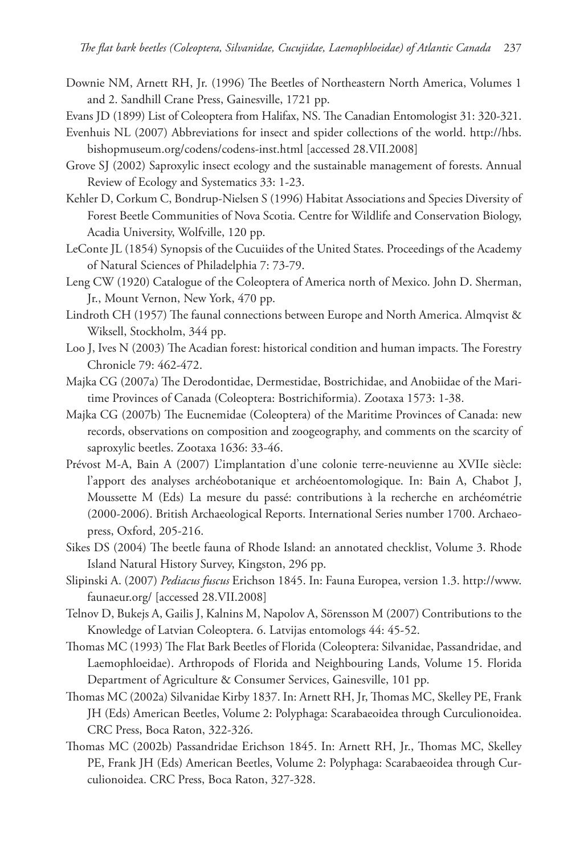- Downie NM, Arnett RH, Jr. (1996) The Beetles of Northeastern North America, Volumes 1 and 2. Sandhill Crane Press, Gainesville, 1721 pp.
- Evans JD (1899) List of Coleoptera from Halifax, NS. The Canadian Entomologist 31: 320-321.
- Eve[nhuis NL \(2007\) Abbreviations for insect and spider collections of the world. http://hbs.](http://hbs.bishopmuseum.org/codens/codens-inst.html) bishopmuseum.org/codens/codens-inst.html [accessed 28.VII.2008]
- Grove SJ (2002) Saproxylic insect ecology and the sustainable management of forests. Annual Review of Ecology and Systematics 33: 1-23.
- Kehler D, Corkum C, Bondrup-Nielsen S (1996) Habitat Associations and Species Diversity of Forest Beetle Communities of Nova Scotia. Centre for Wildlife and Conservation Biology, Acadia University, Wolfville, 120 pp.
- LeConte JL (1854) Synopsis of the Cucuiides of the United States. Proceedings of the Academy of Natural Sciences of Philadelphia 7: 73-79.
- Leng CW (1920) Catalogue of the Coleoptera of America north of Mexico. John D. Sherman, Jr., Mount Vernon, New York, 470 pp.
- Lindroth CH (1957) The faunal connections between Europe and North America. Almqvist & Wiksell, Stockholm, 344 pp.
- Loo J, Ives N (2003) The Acadian forest: historical condition and human impacts. The Forestry Chronicle 79: 462-472.
- Majka CG (2007a) The Derodontidae, Dermestidae, Bostrichidae, and Anobiidae of the Maritime Provinces of Canada (Coleoptera: Bostrichiformia). Zootaxa 1573: 1-38.
- Majka CG (2007b) The Eucnemidae (Coleoptera) of the Maritime Provinces of Canada: new records, observations on composition and zoogeography, and comments on the scarcity of saproxylic beetles. Zootaxa 1636: 33-46.
- Prévost M-A, Bain A (2007) L'implantation d'une colonie terre-neuvienne au XVIIe siècle: l'apport des analyses archéobotanique et archéoentomologique. In: Bain A, Chabot J, Moussette M (Eds) La mesure du passé: contributions à la recherche en archéométrie (2000-2006). British Archaeological Reports. International Series number 1700. Archaeopress, Oxford, 205-216.
- Sikes DS (2004) The beetle fauna of Rhode Island: an annotated checklist, Volume 3. Rhode Island Natural History Survey, Kingston, 296 pp.
- Slipinski A. (2007) *Pediacus fuscus* [Erichson 1845. In: Fauna Europea, version 1.3. http://www.](http://www.faunaeur.org/) faunaeur.org/ [accessed 28.VII.2008]
- Telnov D, Bukejs A, Gailis J, Kalnins M, Napolov A, Sörensson M (2007) Contributions to the Knowledge of Latvian Coleoptera. 6. Latvijas entomologs 44: 45-52.
- Thomas MC (1993) The Flat Bark Beetles of Florida (Coleoptera: Silvanidae, Passandridae, and Laemophloeidae). Arthropods of Florida and Neighbouring Lands, Volume 15. Florida Department of Agriculture & Consumer Services, Gainesville, 101 pp.
- Thomas MC (2002a) Silvanidae Kirby 1837. In: Arnett RH, Jr, Thomas MC, Skelley PE, Frank JH (Eds) American Beetles, Volume 2: Polyphaga: Scarabaeoidea through Curculionoidea. CRC Press, Boca Raton, 322-326.
- Thomas MC (2002b) Passandridae Erichson 1845. In: Arnett RH, Jr., Thomas MC, Skelley PE, Frank JH (Eds) American Beetles, Volume 2: Polyphaga: Scarabaeoidea through Curculionoidea. CRC Press, Boca Raton, 327-328.